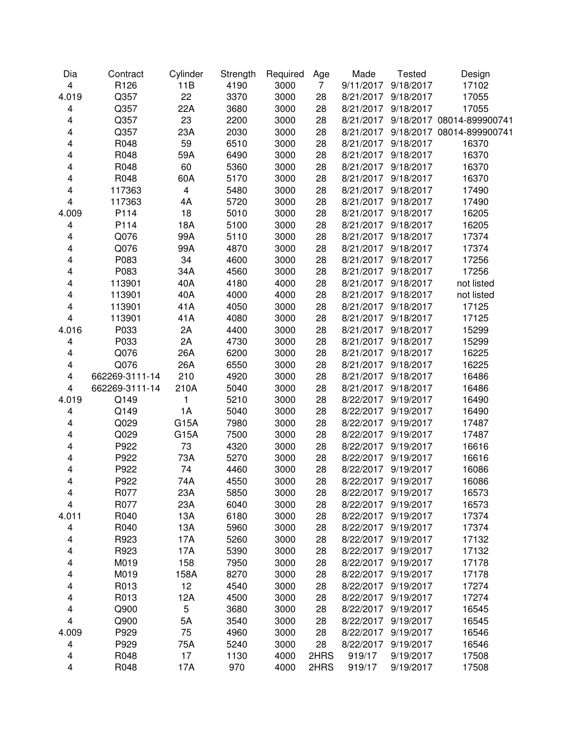| Dia                     | Contract       | Cylinder                | Strength | Required | Age         | Made      | <b>Tested</b>       | Design                    |
|-------------------------|----------------|-------------------------|----------|----------|-------------|-----------|---------------------|---------------------------|
| $\overline{\mathbf{4}}$ | R126           | 11B                     | 4190     | 3000     | $7^{\circ}$ | 9/11/2017 | 9/18/2017           | 17102                     |
| 4.019                   | Q357           | 22                      | 3370     | 3000     | 28          | 8/21/2017 | 9/18/2017           | 17055                     |
| $\overline{\mathbf{4}}$ | Q357           | 22A                     | 3680     | 3000     | 28          | 8/21/2017 | 9/18/2017           | 17055                     |
| 4                       | Q357           | 23                      | 2200     | 3000     | 28          | 8/21/2017 |                     | 9/18/2017 08014-899900741 |
| 4                       | Q357           | 23A                     | 2030     | 3000     | 28          | 8/21/2017 |                     | 9/18/2017 08014-899900741 |
| 4                       | R048           | 59                      | 6510     | 3000     | 28          | 8/21/2017 | 9/18/2017           | 16370                     |
| 4                       | R048           | 59A                     | 6490     | 3000     | 28          | 8/21/2017 | 9/18/2017           | 16370                     |
| 4                       | R048           | 60                      | 5360     | 3000     | 28          | 8/21/2017 | 9/18/2017           | 16370                     |
| 4                       | R048           | 60A                     | 5170     | 3000     | 28          | 8/21/2017 | 9/18/2017           | 16370                     |
| 4                       | 117363         | $\overline{\mathbf{4}}$ | 5480     | 3000     | 28          | 8/21/2017 | 9/18/2017           | 17490                     |
| 4                       | 117363         | 4A                      | 5720     | 3000     | 28          | 8/21/2017 | 9/18/2017           | 17490                     |
| 4.009                   | P114           | 18                      | 5010     | 3000     | 28          | 8/21/2017 | 9/18/2017           | 16205                     |
| 4                       | P114           | 18A                     | 5100     | 3000     | 28          | 8/21/2017 | 9/18/2017           | 16205                     |
| 4                       | Q076           | 99A                     | 5110     | 3000     | 28          | 8/21/2017 | 9/18/2017           | 17374                     |
| 4                       | Q076           | 99A                     | 4870     | 3000     | 28          | 8/21/2017 | 9/18/2017           | 17374                     |
| 4                       | P083           | 34                      | 4600     | 3000     | 28          | 8/21/2017 | 9/18/2017           | 17256                     |
| 4                       | P083           | 34A                     | 4560     | 3000     | 28          | 8/21/2017 | 9/18/2017           | 17256                     |
| 4                       | 113901         | 40A                     | 4180     | 4000     | 28          | 8/21/2017 | 9/18/2017           | not listed                |
| 4                       | 113901         | 40A                     | 4000     | 4000     | 28          | 8/21/2017 | 9/18/2017           | not listed                |
| 4                       | 113901         | 41A                     | 4050     | 3000     | 28          | 8/21/2017 | 9/18/2017           | 17125                     |
| $\overline{\mathbf{4}}$ | 113901         | 41A                     | 4080     | 3000     | 28          | 8/21/2017 | 9/18/2017           | 17125                     |
| 4.016                   | P033           | 2A                      | 4400     | 3000     | 28          | 8/21/2017 | 9/18/2017           | 15299                     |
| $\overline{\mathbf{4}}$ | P033           | 2A                      | 4730     | 3000     | 28          | 8/21/2017 | 9/18/2017           | 15299                     |
| 4                       | Q076           | 26A                     | 6200     | 3000     | 28          | 8/21/2017 | 9/18/2017           | 16225                     |
| 4                       | Q076           | 26A                     | 6550     | 3000     | 28          | 8/21/2017 | 9/18/2017           | 16225                     |
| 4                       | 662269-3111-14 | 210                     | 4920     | 3000     | 28          | 8/21/2017 | 9/18/2017           | 16486                     |
| 4                       | 662269-3111-14 | 210A                    | 5040     | 3000     | 28          | 8/21/2017 | 9/18/2017           | 16486                     |
| 4.019                   | Q149           | 1                       | 5210     | 3000     | 28          | 8/22/2017 | 9/19/2017           | 16490                     |
| 4                       | Q149           | 1A                      | 5040     | 3000     | 28          | 8/22/2017 | 9/19/2017           | 16490                     |
| 4                       | Q029           | G15A                    | 7980     | 3000     | 28          | 8/22/2017 | 9/19/2017           | 17487                     |
| 4                       | Q029           | G15A                    | 7500     | 3000     | 28          | 8/22/2017 | 9/19/2017           | 17487                     |
| 4                       | P922           | 73                      | 4320     | 3000     | 28          | 8/22/2017 | 9/19/2017           | 16616                     |
| 4                       | P922           | 73A                     | 5270     | 3000     | 28          | 8/22/2017 | 9/19/2017           | 16616                     |
| 4                       | P922           | 74                      | 4460     | 3000     | 28          | 8/22/2017 | 9/19/2017           | 16086                     |
| 4                       | P922           | 74A                     | 4550     | 3000     | 28          | 8/22/2017 | 9/19/2017           | 16086                     |
| 4                       | R077           | 23A                     | 5850     | 3000     | 28          |           | 8/22/2017 9/19/2017 | 16573                     |
| 4                       | R077           | 23A                     | 6040     | 3000     | 28          | 8/22/2017 | 9/19/2017           | 16573                     |
| 4.011                   | R040           | 13A                     | 6180     | 3000     | 28          | 8/22/2017 | 9/19/2017           | 17374                     |
| 4                       | R040           | 13A                     | 5960     | 3000     | 28          | 8/22/2017 | 9/19/2017           | 17374                     |
| 4                       | R923           | 17A                     | 5260     | 3000     | 28          | 8/22/2017 | 9/19/2017           | 17132                     |
| 4                       | R923           | 17A                     | 5390     | 3000     | 28          | 8/22/2017 | 9/19/2017           | 17132                     |
| 4                       | M019           | 158                     | 7950     | 3000     | 28          | 8/22/2017 | 9/19/2017           | 17178                     |
| 4                       | M019           | 158A                    | 8270     | 3000     | 28          | 8/22/2017 | 9/19/2017           | 17178                     |
| 4                       | R013           | 12                      | 4540     | 3000     | 28          | 8/22/2017 | 9/19/2017           | 17274                     |
| 4                       | R013           | 12A                     | 4500     | 3000     | 28          | 8/22/2017 | 9/19/2017           | 17274                     |
| 4                       | Q900           | 5                       | 3680     | 3000     | 28          | 8/22/2017 | 9/19/2017           | 16545                     |
| $\overline{\mathbf{4}}$ | Q900           | 5A                      | 3540     | 3000     | 28          | 8/22/2017 | 9/19/2017           | 16545                     |
| 4.009                   | P929           | 75                      | 4960     | 3000     | 28          | 8/22/2017 | 9/19/2017           | 16546                     |
| $\overline{\mathbf{4}}$ | P929           | 75A                     | 5240     | 3000     | 28          | 8/22/2017 | 9/19/2017           | 16546                     |
| 4                       | R048           | 17                      | 1130     | 4000     | 2HRS        | 919/17    | 9/19/2017           | 17508                     |
| 4                       | R048           | 17A                     | 970      | 4000     | 2HRS        | 919/17    | 9/19/2017           | 17508                     |
|                         |                |                         |          |          |             |           |                     |                           |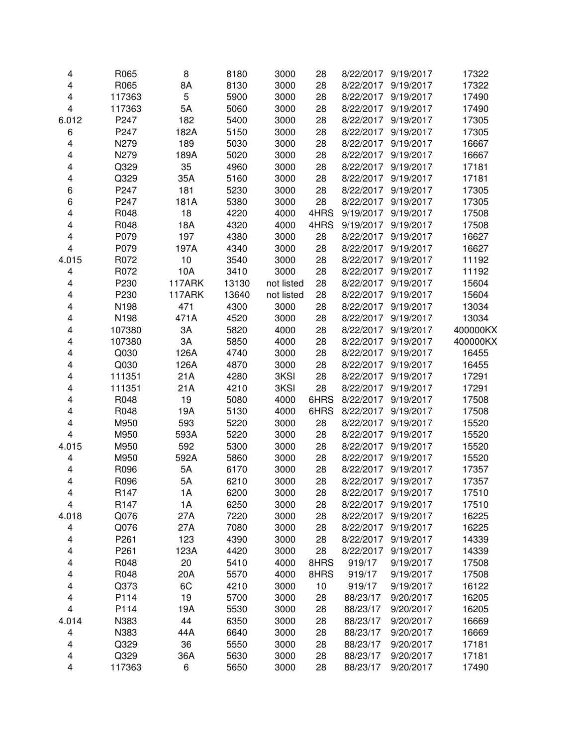| 4                            | R065             | 8      | 8180  | 3000       | 28   |           | 8/22/2017 9/19/2017 | 17322    |
|------------------------------|------------------|--------|-------|------------|------|-----------|---------------------|----------|
| $\overline{\mathbf{4}}$      | R065             | 8A     | 8130  | 3000       | 28   | 8/22/2017 | 9/19/2017           | 17322    |
| $\overline{\mathbf{4}}$      | 117363           | 5      | 5900  | 3000       | 28   | 8/22/2017 | 9/19/2017           | 17490    |
| $\overline{\mathbf{4}}$      | 117363           | 5A     | 5060  | 3000       | 28   | 8/22/2017 | 9/19/2017           | 17490    |
| 6.012                        | P247             | 182    | 5400  | 3000       | 28   | 8/22/2017 | 9/19/2017           | 17305    |
| 6                            | P247             | 182A   | 5150  | 3000       | 28   | 8/22/2017 | 9/19/2017           | 17305    |
| $\overline{\mathbf{4}}$      | N279             | 189    | 5030  | 3000       | 28   | 8/22/2017 | 9/19/2017           | 16667    |
| 4                            | N279             | 189A   | 5020  | 3000       | 28   | 8/22/2017 | 9/19/2017           | 16667    |
| 4                            | Q329             | 35     | 4960  | 3000       | 28   | 8/22/2017 | 9/19/2017           | 17181    |
| 4                            | Q329             | 35A    | 5160  | 3000       | 28   | 8/22/2017 | 9/19/2017           | 17181    |
| 6                            | P247             | 181    | 5230  | 3000       | 28   | 8/22/2017 | 9/19/2017           | 17305    |
| 6                            | P247             | 181A   | 5380  | 3000       | 28   | 8/22/2017 | 9/19/2017           | 17305    |
| 4                            | R048             | 18     | 4220  | 4000       | 4HRS | 9/19/2017 | 9/19/2017           | 17508    |
| 4                            | R048             | 18A    | 4320  | 4000       | 4HRS | 9/19/2017 | 9/19/2017           | 17508    |
| 4                            | P079             | 197    | 4380  | 3000       | 28   | 8/22/2017 | 9/19/2017           | 16627    |
| $\overline{\mathbf{4}}$      | P079             | 197A   | 4340  | 3000       | 28   | 8/22/2017 | 9/19/2017           | 16627    |
| 4.015                        | R072             | 10     | 3540  | 3000       | 28   | 8/22/2017 | 9/19/2017           | 11192    |
| 4                            | R072             | 10A    | 3410  | 3000       | 28   | 8/22/2017 | 9/19/2017           | 11192    |
| 4                            | P230             | 117ARK | 13130 | not listed | 28   | 8/22/2017 | 9/19/2017           | 15604    |
| 4                            | P230             | 117ARK | 13640 | not listed | 28   | 8/22/2017 | 9/19/2017           | 15604    |
| $\overline{\mathbf{4}}$      | N198             | 471    | 4300  | 3000       | 28   | 8/22/2017 | 9/19/2017           | 13034    |
| 4                            | N198             | 471A   | 4520  | 3000       | 28   | 8/22/2017 | 9/19/2017           | 13034    |
| 4                            | 107380           | 3A     | 5820  | 4000       | 28   | 8/22/2017 | 9/19/2017           | 400000KX |
| 4                            | 107380           | ЗA     | 5850  | 4000       | 28   | 8/22/2017 | 9/19/2017           | 400000KX |
| 4                            | Q030             | 126A   | 4740  | 3000       | 28   | 8/22/2017 | 9/19/2017           | 16455    |
| 4                            | Q030             | 126A   | 4870  | 3000       | 28   | 8/22/2017 | 9/19/2017           | 16455    |
| 4                            | 111351           | 21A    | 4280  | 3KSI       | 28   | 8/22/2017 | 9/19/2017           | 17291    |
| 4                            | 111351           | 21A    | 4210  | 3KSI       | 28   | 8/22/2017 | 9/19/2017           | 17291    |
| 4                            | R048             | 19     | 5080  | 4000       | 6HRS | 8/22/2017 | 9/19/2017           | 17508    |
| 4                            | R048             | 19A    | 5130  | 4000       | 6HRS | 8/22/2017 | 9/19/2017           | 17508    |
| 4                            | M950             | 593    | 5220  | 3000       | 28   | 8/22/2017 | 9/19/2017           | 15520    |
| 4                            | M950             | 593A   | 5220  | 3000       | 28   | 8/22/2017 | 9/19/2017           | 15520    |
| 4.015                        | M950             | 592    | 5300  | 3000       | 28   | 8/22/2017 | 9/19/2017           | 15520    |
| $\overline{\mathbf{4}}$      | M950             | 592A   | 5860  | 3000       | 28   | 8/22/2017 | 9/19/2017           | 15520    |
| 4                            | R096             | 5A     | 6170  | 3000       | 28   | 8/22/2017 | 9/19/2017           | 17357    |
| $\overline{\mathbf{4}}$      | R096             | 5A     | 6210  | 3000       | 28   | 8/22/2017 | 9/19/2017           | 17357    |
|                              | R147             | 1А     | 6200  | 3000       | 28   | 8/22/2017 | 9/19/2017           | 17510    |
| 4<br>$\overline{\mathbf{4}}$ | R <sub>147</sub> | 1A     | 6250  | 3000       | 28   | 8/22/2017 | 9/19/2017           | 17510    |
| 4.018                        | Q076             | 27A    | 7220  | 3000       | 28   | 8/22/2017 | 9/19/2017           | 16225    |
|                              | Q076             | 27A    | 7080  | 3000       | 28   | 8/22/2017 | 9/19/2017           | 16225    |
| 4                            | P261             | 123    | 4390  | 3000       | 28   | 8/22/2017 | 9/19/2017           |          |
| 4                            |                  | 123A   |       |            | 28   |           |                     | 14339    |
| 4                            | P261             |        | 4420  | 3000       |      | 8/22/2017 | 9/19/2017           | 14339    |
| 4                            | R048             | 20     | 5410  | 4000       | 8HRS | 919/17    | 9/19/2017           | 17508    |
| 4                            | R048             | 20A    | 5570  | 4000       | 8HRS | 919/17    | 9/19/2017           | 17508    |
| 4                            | Q373             | 6C     | 4210  | 3000       | 10   | 919/17    | 9/19/2017           | 16122    |
| 4                            | P114             | 19     | 5700  | 3000       | 28   | 88/23/17  | 9/20/2017           | 16205    |
| $\overline{\mathbf{4}}$      | P114             | 19A    | 5530  | 3000       | 28   | 88/23/17  | 9/20/2017           | 16205    |
| 4.014                        | N383             | 44     | 6350  | 3000       | 28   | 88/23/17  | 9/20/2017           | 16669    |
| 4                            | N383             | 44A    | 6640  | 3000       | 28   | 88/23/17  | 9/20/2017           | 16669    |
| $\overline{\mathbf{4}}$      | Q329             | 36     | 5550  | 3000       | 28   | 88/23/17  | 9/20/2017           | 17181    |
| $\overline{\mathbf{4}}$      | Q329             | 36A    | 5630  | 3000       | 28   | 88/23/17  | 9/20/2017           | 17181    |
| 4                            | 117363           | 6      | 5650  | 3000       | 28   | 88/23/17  | 9/20/2017           | 17490    |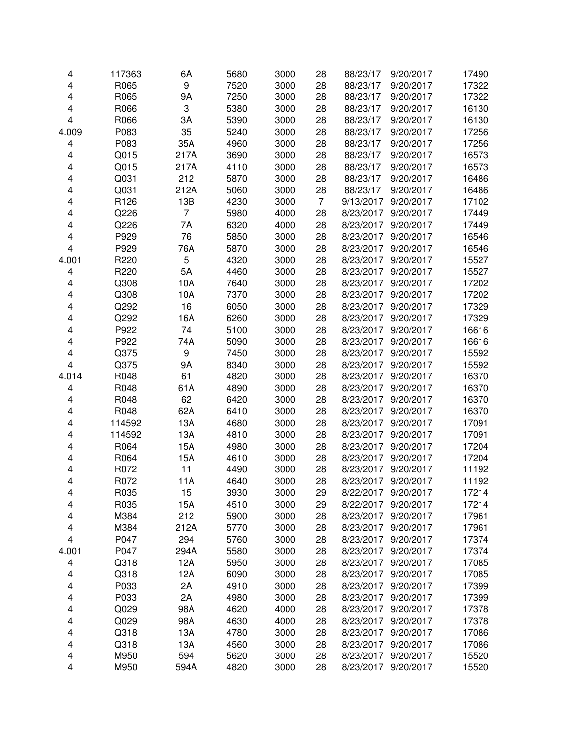| 4     | 117363 | 6A             | 5680 | 3000 | 28             | 88/23/17  | 9/20/2017 | 17490 |
|-------|--------|----------------|------|------|----------------|-----------|-----------|-------|
| 4     | R065   | 9              | 7520 | 3000 | 28             | 88/23/17  | 9/20/2017 | 17322 |
| 4     | R065   | <b>9A</b>      | 7250 | 3000 | 28             | 88/23/17  | 9/20/2017 | 17322 |
| 4     | R066   | 3              | 5380 | 3000 | 28             | 88/23/17  | 9/20/2017 | 16130 |
| 4     | R066   | 3A             | 5390 | 3000 | 28             | 88/23/17  | 9/20/2017 | 16130 |
| 4.009 | P083   | 35             | 5240 | 3000 | 28             | 88/23/17  | 9/20/2017 | 17256 |
| 4     | P083   | 35A            | 4960 | 3000 | 28             | 88/23/17  | 9/20/2017 | 17256 |
| 4     | Q015   | 217A           | 3690 | 3000 | 28             | 88/23/17  | 9/20/2017 | 16573 |
| 4     | Q015   | 217A           | 4110 | 3000 | 28             | 88/23/17  | 9/20/2017 | 16573 |
| 4     | Q031   | 212            | 5870 | 3000 | 28             | 88/23/17  | 9/20/2017 | 16486 |
| 4     | Q031   | 212A           | 5060 | 3000 | 28             | 88/23/17  | 9/20/2017 | 16486 |
| 4     | R126   | 13B            | 4230 | 3000 | $\overline{7}$ | 9/13/2017 | 9/20/2017 | 17102 |
| 4     | Q226   | $\overline{7}$ | 5980 | 4000 | 28             | 8/23/2017 | 9/20/2017 | 17449 |
| 4     | Q226   | 7A             | 6320 | 4000 | 28             | 8/23/2017 | 9/20/2017 | 17449 |
| 4     | P929   | 76             | 5850 | 3000 | 28             | 8/23/2017 | 9/20/2017 | 16546 |
| 4     | P929   | 76A            | 5870 | 3000 | 28             | 8/23/2017 | 9/20/2017 | 16546 |
| 4.001 | R220   | 5              | 4320 | 3000 | 28             | 8/23/2017 | 9/20/2017 | 15527 |
| 4     | R220   | 5A             | 4460 | 3000 | 28             | 8/23/2017 | 9/20/2017 | 15527 |
| 4     | Q308   | 10A            | 7640 | 3000 | 28             | 8/23/2017 | 9/20/2017 | 17202 |
| 4     | Q308   | 10A            | 7370 | 3000 | 28             | 8/23/2017 | 9/20/2017 | 17202 |
| 4     | Q292   | 16             | 6050 | 3000 | 28             | 8/23/2017 | 9/20/2017 | 17329 |
| 4     | Q292   | 16A            | 6260 | 3000 | 28             | 8/23/2017 | 9/20/2017 | 17329 |
| 4     | P922   | 74             | 5100 | 3000 | 28             | 8/23/2017 | 9/20/2017 | 16616 |
| 4     | P922   | 74A            | 5090 | 3000 | 28             | 8/23/2017 | 9/20/2017 | 16616 |
| 4     | Q375   | 9              | 7450 | 3000 | 28             | 8/23/2017 | 9/20/2017 | 15592 |
| 4     | Q375   | <b>9A</b>      | 8340 | 3000 | 28             | 8/23/2017 | 9/20/2017 | 15592 |
| 4.014 | R048   | 61             | 4820 | 3000 | 28             | 8/23/2017 | 9/20/2017 | 16370 |
| 4     | R048   | 61A            | 4890 | 3000 | 28             | 8/23/2017 | 9/20/2017 | 16370 |
| 4     | R048   | 62             | 6420 | 3000 | 28             | 8/23/2017 | 9/20/2017 | 16370 |
| 4     | R048   | 62A            | 6410 | 3000 | 28             | 8/23/2017 | 9/20/2017 | 16370 |
| 4     | 114592 | 13A            | 4680 | 3000 | 28             | 8/23/2017 | 9/20/2017 | 17091 |
| 4     | 114592 | 13A            | 4810 | 3000 | 28             | 8/23/2017 | 9/20/2017 | 17091 |
| 4     | R064   | 15A            | 4980 | 3000 | 28             | 8/23/2017 | 9/20/2017 | 17204 |
| 4     | R064   | 15A            | 4610 | 3000 | 28             | 8/23/2017 | 9/20/2017 | 17204 |
| 4     | R072   | 11             | 4490 | 3000 | 28             | 8/23/2017 | 9/20/2017 | 11192 |
| 4     | R072   | 11A            | 4640 | 3000 | 28             | 8/23/2017 | 9/20/2017 | 11192 |
| 4     | R035   | 15             | 3930 | 3000 | 29             | 8/22/2017 | 9/20/2017 | 17214 |
| 4     | R035   | 15A            | 4510 | 3000 | 29             | 8/22/2017 | 9/20/2017 | 17214 |
| 4     | M384   | 212            | 5900 | 3000 | 28             | 8/23/2017 | 9/20/2017 | 17961 |
| 4     | M384   | 212A           | 5770 | 3000 | 28             | 8/23/2017 | 9/20/2017 | 17961 |
| 4     | P047   | 294            | 5760 | 3000 | 28             | 8/23/2017 | 9/20/2017 | 17374 |
| 4.001 | P047   | 294A           | 5580 | 3000 | 28             | 8/23/2017 | 9/20/2017 | 17374 |
| 4     | Q318   | 12A            | 5950 | 3000 | 28             | 8/23/2017 | 9/20/2017 | 17085 |
| 4     | Q318   | 12A            | 6090 | 3000 | 28             | 8/23/2017 | 9/20/2017 | 17085 |
| 4     | P033   | 2A             | 4910 | 3000 | 28             | 8/23/2017 | 9/20/2017 | 17399 |
| 4     | P033   | 2A             | 4980 | 3000 | 28             | 8/23/2017 | 9/20/2017 | 17399 |
| 4     | Q029   | 98A            | 4620 | 4000 | 28             | 8/23/2017 | 9/20/2017 | 17378 |
| 4     | Q029   | 98A            | 4630 | 4000 | 28             | 8/23/2017 | 9/20/2017 | 17378 |
| 4     | Q318   | 13A            | 4780 | 3000 | 28             | 8/23/2017 | 9/20/2017 | 17086 |
| 4     | Q318   | 13A            | 4560 | 3000 | 28             | 8/23/2017 | 9/20/2017 | 17086 |
| 4     | M950   | 594            | 5620 | 3000 | 28             | 8/23/2017 | 9/20/2017 | 15520 |
| 4     | M950   | 594A           | 4820 | 3000 | 28             | 8/23/2017 | 9/20/2017 | 15520 |
|       |        |                |      |      |                |           |           |       |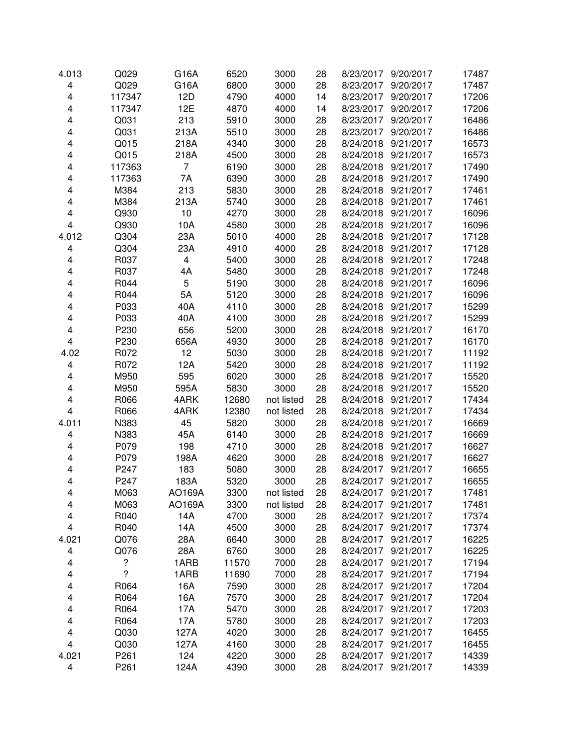| 4.013                   | Q029   | G16A                    | 6520  | 3000       | 28 | 8/23/2017              | 9/20/2017 | 17487 |
|-------------------------|--------|-------------------------|-------|------------|----|------------------------|-----------|-------|
| $\overline{\mathbf{4}}$ | Q029   | G16A                    | 6800  | 3000       | 28 | 8/23/2017              | 9/20/2017 | 17487 |
| 4                       | 117347 | 12D                     | 4790  | 4000       | 14 | 8/23/2017              | 9/20/2017 | 17206 |
| 4                       | 117347 | 12E                     | 4870  | 4000       | 14 | 8/23/2017              | 9/20/2017 | 17206 |
| 4                       | Q031   | 213                     | 5910  | 3000       | 28 | 8/23/2017              | 9/20/2017 | 16486 |
| 4                       | Q031   | 213A                    | 5510  | 3000       | 28 | 8/23/2017              | 9/20/2017 | 16486 |
| 4                       | Q015   | 218A                    | 4340  | 3000       | 28 | 8/24/2018              | 9/21/2017 | 16573 |
| 4                       | Q015   | 218A                    | 4500  | 3000       | 28 | 8/24/2018              | 9/21/2017 | 16573 |
| 4                       | 117363 | 7                       | 6190  | 3000       | 28 | 8/24/2018              | 9/21/2017 | 17490 |
| 4                       | 117363 | 7A                      | 6390  | 3000       | 28 | 8/24/2018              | 9/21/2017 | 17490 |
| 4                       | M384   | 213                     | 5830  | 3000       | 28 | 8/24/2018              | 9/21/2017 | 17461 |
| 4                       | M384   | 213A                    | 5740  | 3000       | 28 | 8/24/2018              | 9/21/2017 | 17461 |
| 4                       | Q930   | 10                      | 4270  | 3000       | 28 | 8/24/2018              | 9/21/2017 | 16096 |
| $\overline{\mathbf{4}}$ | Q930   | 10A                     | 4580  | 3000       | 28 | 8/24/2018              | 9/21/2017 | 16096 |
| 4.012                   | Q304   | 23A                     | 5010  | 4000       | 28 | 8/24/2018              | 9/21/2017 | 17128 |
| $\overline{\mathbf{4}}$ | Q304   | 23A                     | 4910  | 4000       | 28 | 8/24/2018              | 9/21/2017 | 17128 |
| $\overline{\mathbf{4}}$ | R037   | $\overline{\mathbf{4}}$ | 5400  | 3000       | 28 | 8/24/2018              | 9/21/2017 | 17248 |
| 4                       | R037   | 4A                      | 5480  | 3000       | 28 | 8/24/2018              | 9/21/2017 | 17248 |
| 4                       | R044   | 5                       | 5190  | 3000       | 28 | 8/24/2018              | 9/21/2017 | 16096 |
| 4                       | R044   | 5A                      | 5120  | 3000       | 28 | 8/24/2018              | 9/21/2017 | 16096 |
| 4                       | P033   | 40A                     | 4110  | 3000       | 28 | 8/24/2018              | 9/21/2017 | 15299 |
| 4                       | P033   | 40A                     | 4100  | 3000       | 28 | 8/24/2018              | 9/21/2017 | 15299 |
| 4                       | P230   | 656                     | 5200  | 3000       | 28 | 8/24/2018              | 9/21/2017 | 16170 |
| 4                       | P230   | 656A                    | 4930  | 3000       | 28 | 8/24/2018              | 9/21/2017 | 16170 |
| 4.02                    | R072   | 12                      | 5030  | 3000       | 28 | 8/24/2018              | 9/21/2017 | 11192 |
| 4                       | R072   | 12A                     | 5420  | 3000       | 28 | 8/24/2018              | 9/21/2017 | 11192 |
| 4                       | M950   | 595                     | 6020  | 3000       | 28 | 8/24/2018              | 9/21/2017 | 15520 |
| 4                       | M950   | 595A                    | 5830  | 3000       | 28 | 8/24/2018              | 9/21/2017 | 15520 |
| 4                       | R066   | 4ARK                    | 12680 | not listed | 28 | 8/24/2018              | 9/21/2017 | 17434 |
| $\overline{\mathbf{4}}$ | R066   | 4ARK                    | 12380 | not listed | 28 | 8/24/2018              | 9/21/2017 | 17434 |
| 4.011                   | N383   | 45                      | 5820  | 3000       | 28 | 8/24/2018              | 9/21/2017 | 16669 |
| 4                       | N383   | 45A                     | 6140  | 3000       | 28 | 8/24/2018              | 9/21/2017 | 16669 |
| 4                       | P079   | 198                     | 4710  | 3000       | 28 | 8/24/2018              | 9/21/2017 |       |
| 4                       |        |                         |       |            |    | 8/24/2018              | 9/21/2017 | 16627 |
|                         | P079   | 198A                    | 4620  | 3000       | 28 |                        |           | 16627 |
| 4                       | P247   | 183                     | 5080  | 3000       | 28 | 8/24/2017<br>8/24/2017 | 9/21/2017 | 16655 |
| 4                       | P247   | 183A                    | 5320  | 3000       | 28 |                        | 9/21/2017 | 16655 |
| 4                       | M063   | AO169A                  | 3300  | not listed | 28 | 8/24/2017              | 9/21/2017 | 17481 |
| 4                       | M063   | AO169A                  | 3300  | not listed | 28 | 8/24/2017              | 9/21/2017 | 17481 |
| 4                       | R040   | 14A                     | 4700  | 3000       | 28 | 8/24/2017              | 9/21/2017 | 17374 |
| 4                       | R040   | 14A                     | 4500  | 3000       | 28 | 8/24/2017              | 9/21/2017 | 17374 |
| 4.021                   | Q076   | 28A                     | 6640  | 3000       | 28 | 8/24/2017              | 9/21/2017 | 16225 |
| 4                       | Q076   | 28A                     | 6760  | 3000       | 28 | 8/24/2017              | 9/21/2017 | 16225 |
| 4                       | ?      | 1ARB                    | 11570 | 7000       | 28 | 8/24/2017              | 9/21/2017 | 17194 |
| 4                       | ?      | 1ARB                    | 11690 | 7000       | 28 | 8/24/2017              | 9/21/2017 | 17194 |
| 4                       | R064   | 16A                     | 7590  | 3000       | 28 | 8/24/2017              | 9/21/2017 | 17204 |
| 4                       | R064   | 16A                     | 7570  | 3000       | 28 | 8/24/2017              | 9/21/2017 | 17204 |
| 4                       | R064   | 17A                     | 5470  | 3000       | 28 | 8/24/2017              | 9/21/2017 | 17203 |
| 4                       | R064   | 17A                     | 5780  | 3000       | 28 | 8/24/2017              | 9/21/2017 | 17203 |
| 4                       | Q030   | 127A                    | 4020  | 3000       | 28 | 8/24/2017              | 9/21/2017 | 16455 |
| 4                       | Q030   | 127A                    | 4160  | 3000       | 28 | 8/24/2017              | 9/21/2017 | 16455 |
| 4.021                   | P261   | 124                     | 4220  | 3000       | 28 | 8/24/2017              | 9/21/2017 | 14339 |
| $\overline{\mathbf{4}}$ | P261   | 124A                    | 4390  | 3000       | 28 | 8/24/2017              | 9/21/2017 | 14339 |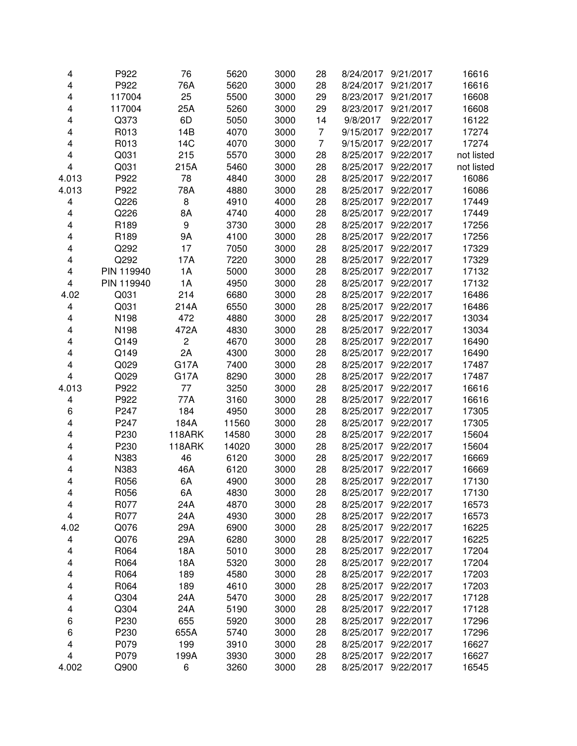| 4                            | P922       | 76            | 5620         | 3000 | 28             | 8/24/2017 | 9/21/2017 | 16616      |
|------------------------------|------------|---------------|--------------|------|----------------|-----------|-----------|------------|
| 4                            | P922       | 76A           | 5620         | 3000 | 28             | 8/24/2017 | 9/21/2017 | 16616      |
| 4                            | 117004     | 25            | 5500         | 3000 | 29             | 8/23/2017 | 9/21/2017 | 16608      |
| 4                            | 117004     | 25A           | 5260         | 3000 | 29             | 8/23/2017 | 9/21/2017 | 16608      |
| 4                            | Q373       | 6D            | 5050         | 3000 | 14             | 9/8/2017  | 9/22/2017 | 16122      |
| 4                            | R013       | 14B           | 4070         | 3000 | $\overline{7}$ | 9/15/2017 | 9/22/2017 | 17274      |
| 4                            | R013       | 14C           | 4070         | 3000 | $\overline{7}$ | 9/15/2017 | 9/22/2017 | 17274      |
| 4                            | Q031       | 215           | 5570         | 3000 | 28             | 8/25/2017 | 9/22/2017 | not listed |
| 4                            | Q031       | 215A          | 5460         | 3000 | 28             | 8/25/2017 | 9/22/2017 | not listed |
| 4.013                        | P922       | 78            | 4840         | 3000 | 28             | 8/25/2017 | 9/22/2017 | 16086      |
| 4.013                        | P922       | 78A           | 4880         | 3000 | 28             | 8/25/2017 | 9/22/2017 | 16086      |
| 4                            | Q226       | 8             | 4910         | 4000 | 28             | 8/25/2017 | 9/22/2017 | 17449      |
| 4                            | Q226       | 8A            | 4740         | 4000 | 28             | 8/25/2017 | 9/22/2017 | 17449      |
| 4                            | R189       | 9             | 3730         | 3000 | 28             | 8/25/2017 | 9/22/2017 | 17256      |
| 4                            | R189       | 9A            | 4100         | 3000 | 28             | 8/25/2017 | 9/22/2017 | 17256      |
| 4                            | Q292       | 17            | 7050         | 3000 | 28             | 8/25/2017 | 9/22/2017 | 17329      |
| 4                            | Q292       | 17A           | 7220         | 3000 | 28             | 8/25/2017 | 9/22/2017 | 17329      |
| 4                            | PIN 119940 | 1A            | 5000         | 3000 | 28             | 8/25/2017 | 9/22/2017 | 17132      |
| $\overline{\mathbf{4}}$      | PIN 119940 | 1A            | 4950         | 3000 | 28             | 8/25/2017 | 9/22/2017 | 17132      |
| 4.02                         | Q031       | 214           | 6680         | 3000 | 28             | 8/25/2017 | 9/22/2017 | 16486      |
| 4                            | Q031       | 214A          | 6550         | 3000 | 28             | 8/25/2017 | 9/22/2017 | 16486      |
| 4                            | N198       | 472           | 4880         | 3000 | 28             | 8/25/2017 | 9/22/2017 | 13034      |
| 4                            | N198       | 472A          | 4830         | 3000 | 28             | 8/25/2017 | 9/22/2017 | 13034      |
| 4                            | Q149       | 2             | 4670         | 3000 | 28             | 8/25/2017 | 9/22/2017 | 16490      |
| 4                            | Q149       | 2A            | 4300         | 3000 | 28             | 8/25/2017 | 9/22/2017 | 16490      |
| 4                            | Q029       | G17A          | 7400         | 3000 | 28             | 8/25/2017 | 9/22/2017 | 17487      |
| 4                            | Q029       | <b>G17A</b>   | 8290         | 3000 | 28             | 8/25/2017 | 9/22/2017 | 17487      |
| 4.013                        | P922       | 77            | 3250         | 3000 | 28             | 8/25/2017 | 9/22/2017 | 16616      |
| 4                            | P922       | 77A           | 3160         | 3000 | 28             | 8/25/2017 | 9/22/2017 | 16616      |
| 6                            | P247       | 184           | 4950         | 3000 | 28             | 8/25/2017 | 9/22/2017 | 17305      |
| 4                            | P247       | 184A          | 11560        | 3000 | 28             | 8/25/2017 | 9/22/2017 | 17305      |
| 4                            | P230       | 118ARK        | 14580        | 3000 | 28             | 8/25/2017 | 9/22/2017 | 15604      |
| 4                            | P230       | <b>118ARK</b> | 14020        | 3000 | 28             | 8/25/2017 | 9/22/2017 | 15604      |
| 4                            | N383       | 46            | 6120         | 3000 | 28             | 8/25/2017 | 9/22/2017 | 16669      |
| 4                            | N383       | 46A           | 6120         | 3000 | 28             | 8/25/2017 | 9/22/2017 | 16669      |
| 4                            | R056       | 6A            | 4900         | 3000 | 28             | 8/25/2017 | 9/22/2017 | 17130      |
| 4                            | R056       | 6A            | 4830         | 3000 | 28             | 8/25/2017 | 9/22/2017 | 17130      |
| 4                            | R077       | 24A           | 4870         | 3000 | 28             | 8/25/2017 | 9/22/2017 | 16573      |
| 4                            | R077       | 24A           | 4930         | 3000 | 28             | 8/25/2017 | 9/22/2017 | 16573      |
| 4.02                         | Q076       | 29A           | 6900         | 3000 | 28             | 8/25/2017 | 9/22/2017 | 16225      |
| 4                            | Q076       | 29A           | 6280         | 3000 | 28             | 8/25/2017 | 9/22/2017 | 16225      |
| 4                            | R064       | 18A           | 5010         | 3000 | 28             | 8/25/2017 | 9/22/2017 | 17204      |
| 4                            | R064       | 18A           | 5320         | 3000 | 28             | 8/25/2017 | 9/22/2017 | 17204      |
| 4                            | R064       | 189           | 4580         | 3000 | 28             | 8/25/2017 | 9/22/2017 | 17203      |
| 4                            | R064       | 189           | 4610         | 3000 | 28             | 8/25/2017 | 9/22/2017 | 17203      |
| 4                            | Q304       | 24A           | 5470         | 3000 | 28             | 8/25/2017 | 9/22/2017 | 17128      |
|                              | Q304       | 24A           |              | 3000 | 28             | 8/25/2017 | 9/22/2017 | 17128      |
| 4                            | P230       | 655           | 5190<br>5920 | 3000 | 28             | 8/25/2017 | 9/22/2017 |            |
| 6<br>6                       | P230       | 655A          |              | 3000 | 28             | 8/25/2017 | 9/22/2017 | 17296      |
|                              | P079       |               | 5740         |      |                | 8/25/2017 | 9/22/2017 | 17296      |
| 4<br>$\overline{\mathbf{4}}$ |            | 199           | 3910         | 3000 | 28             |           |           | 16627      |
|                              | P079       | 199A          | 3930         | 3000 | 28             | 8/25/2017 | 9/22/2017 | 16627      |
| 4.002                        | Q900       | 6             | 3260         | 3000 | 28             | 8/25/2017 | 9/22/2017 | 16545      |